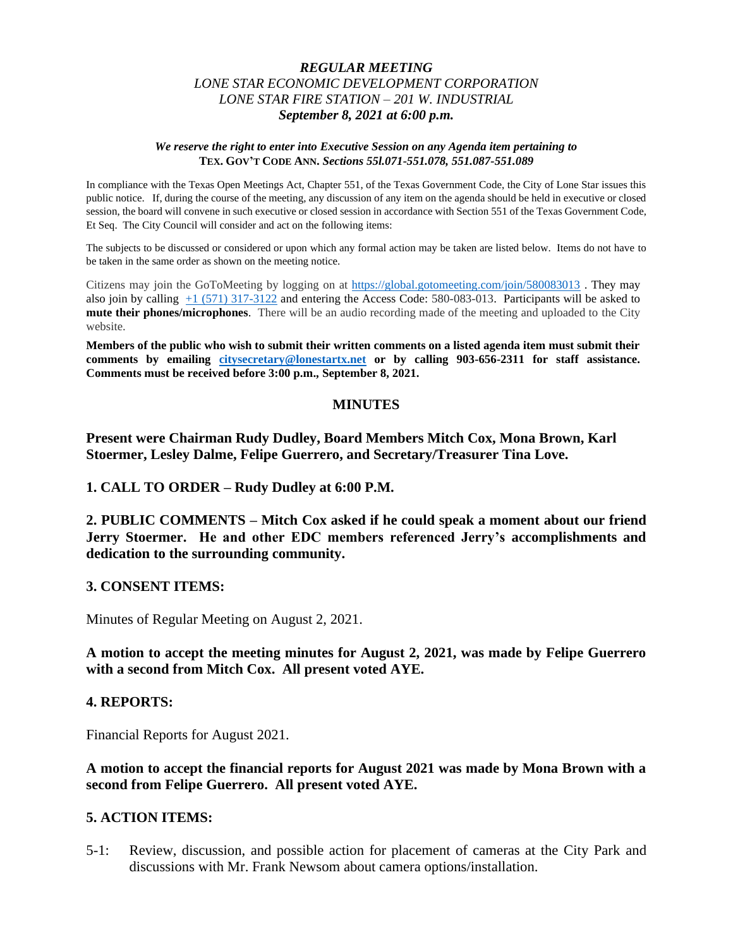## *REGULAR MEETING LONE STAR ECONOMIC DEVELOPMENT CORPORATION LONE STAR FIRE STATION – 201 W. INDUSTRIAL September 8, 2021 at 6:00 p.m.*

#### *We reserve the right to enter into Executive Session on any Agenda item pertaining to*  **TEX. GOV'T CODE ANN.** *Sections 55l.071-551.078, 551.087-551.089*

In compliance with the Texas Open Meetings Act, Chapter 551, of the Texas Government Code, the City of Lone Star issues this public notice. If, during the course of the meeting, any discussion of any item on the agenda should be held in executive or closed session, the board will convene in such executive or closed session in accordance with Section 551 of the Texas Government Code, Et Seq. The City Council will consider and act on the following items:

The subjects to be discussed or considered or upon which any formal action may be taken are listed below. Items do not have to be taken in the same order as shown on the meeting notice.

Citizens may join the GoToMeeting by logging on at <https://global.gotomeeting.com/join/580083013> . They may also join by calling [+1 \(571\) 317-3122](tel:+15713173122,,580083013) and entering the Access Code: 580-083-013. Participants will be asked to **mute their phones/microphones**. There will be an audio recording made of the meeting and uploaded to the City website.

**Members of the public who wish to submit their written comments on a listed agenda item must submit their comments by emailing [citysecretary@lonestartx.net](mailto:citysecretary@lonestartx.net) or by calling 903-656-2311 for staff assistance. Comments must be received before 3:00 p.m., September 8, 2021.**

### **MINUTES**

**Present were Chairman Rudy Dudley, Board Members Mitch Cox, Mona Brown, Karl Stoermer, Lesley Dalme, Felipe Guerrero, and Secretary/Treasurer Tina Love.**

**1. CALL TO ORDER – Rudy Dudley at 6:00 P.M.**

**2. PUBLIC COMMENTS – Mitch Cox asked if he could speak a moment about our friend Jerry Stoermer. He and other EDC members referenced Jerry's accomplishments and dedication to the surrounding community.** 

### **3. CONSENT ITEMS:**

Minutes of Regular Meeting on August 2, 2021.

**A motion to accept the meeting minutes for August 2, 2021, was made by Felipe Guerrero with a second from Mitch Cox. All present voted AYE.**

### **4. REPORTS:**

Financial Reports for August 2021.

**A motion to accept the financial reports for August 2021 was made by Mona Brown with a second from Felipe Guerrero. All present voted AYE.** 

# **5. ACTION ITEMS:**

5-1: Review, discussion, and possible action for placement of cameras at the City Park and discussions with Mr. Frank Newsom about camera options/installation.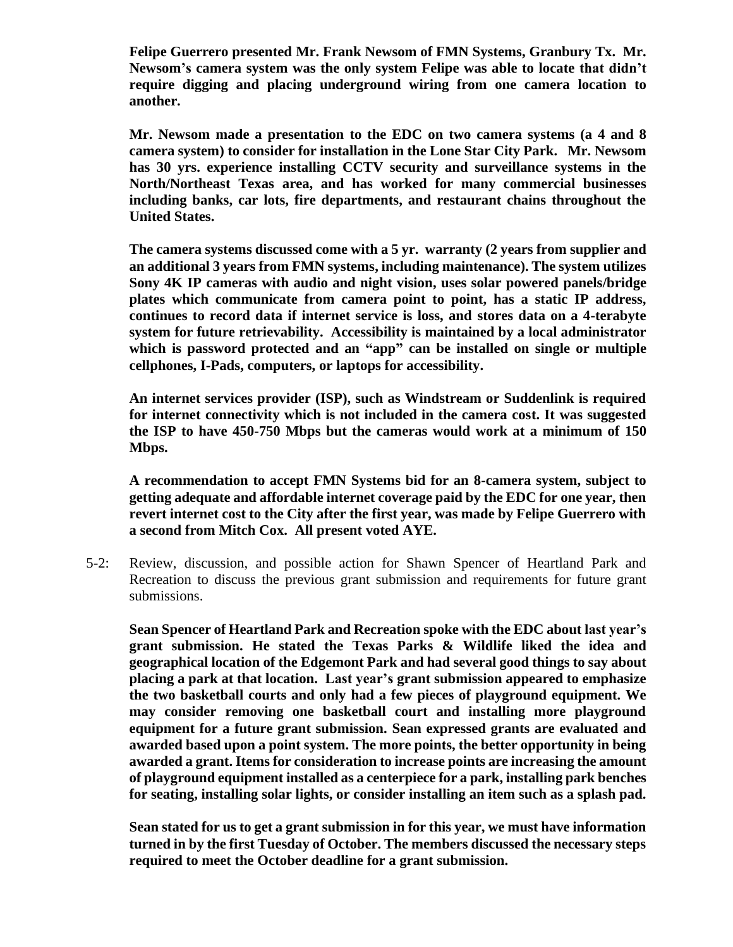**Felipe Guerrero presented Mr. Frank Newsom of FMN Systems, Granbury Tx. Mr. Newsom's camera system was the only system Felipe was able to locate that didn't require digging and placing underground wiring from one camera location to another.** 

**Mr. Newsom made a presentation to the EDC on two camera systems (a 4 and 8 camera system) to consider for installation in the Lone Star City Park. Mr. Newsom has 30 yrs. experience installing CCTV security and surveillance systems in the North/Northeast Texas area, and has worked for many commercial businesses including banks, car lots, fire departments, and restaurant chains throughout the United States.** 

**The camera systems discussed come with a 5 yr. warranty (2 years from supplier and an additional 3 years from FMN systems, including maintenance). The system utilizes Sony 4K IP cameras with audio and night vision, uses solar powered panels/bridge plates which communicate from camera point to point, has a static IP address, continues to record data if internet service is loss, and stores data on a 4-terabyte system for future retrievability. Accessibility is maintained by a local administrator which is password protected and an "app" can be installed on single or multiple cellphones, I-Pads, computers, or laptops for accessibility.** 

**An internet services provider (ISP), such as Windstream or Suddenlink is required for internet connectivity which is not included in the camera cost. It was suggested the ISP to have 450-750 Mbps but the cameras would work at a minimum of 150 Mbps.**

**A recommendation to accept FMN Systems bid for an 8-camera system, subject to getting adequate and affordable internet coverage paid by the EDC for one year, then revert internet cost to the City after the first year, was made by Felipe Guerrero with a second from Mitch Cox. All present voted AYE.** 

5-2: Review, discussion, and possible action for Shawn Spencer of Heartland Park and Recreation to discuss the previous grant submission and requirements for future grant submissions.

**Sean Spencer of Heartland Park and Recreation spoke with the EDC about last year's grant submission. He stated the Texas Parks & Wildlife liked the idea and geographical location of the Edgemont Park and had several good things to say about placing a park at that location. Last year's grant submission appeared to emphasize the two basketball courts and only had a few pieces of playground equipment. We may consider removing one basketball court and installing more playground equipment for a future grant submission. Sean expressed grants are evaluated and awarded based upon a point system. The more points, the better opportunity in being awarded a grant. Items for consideration to increase points are increasing the amount of playground equipment installed as a centerpiece for a park, installing park benches for seating, installing solar lights, or consider installing an item such as a splash pad.**

**Sean stated for us to get a grant submission in for this year, we must have information turned in by the first Tuesday of October. The members discussed the necessary steps required to meet the October deadline for a grant submission.**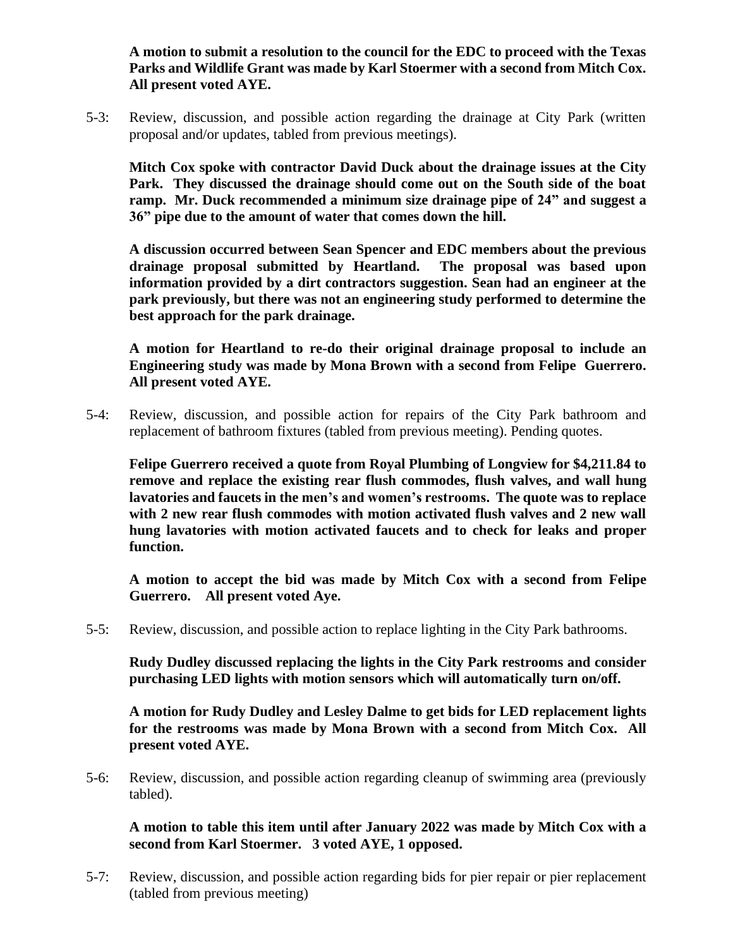**A motion to submit a resolution to the council for the EDC to proceed with the Texas Parks and Wildlife Grant was made by Karl Stoermer with a second from Mitch Cox. All present voted AYE.** 

5-3: Review, discussion, and possible action regarding the drainage at City Park (written proposal and/or updates, tabled from previous meetings).

**Mitch Cox spoke with contractor David Duck about the drainage issues at the City Park. They discussed the drainage should come out on the South side of the boat ramp. Mr. Duck recommended a minimum size drainage pipe of 24" and suggest a 36" pipe due to the amount of water that comes down the hill.** 

**A discussion occurred between Sean Spencer and EDC members about the previous drainage proposal submitted by Heartland. The proposal was based upon information provided by a dirt contractors suggestion. Sean had an engineer at the park previously, but there was not an engineering study performed to determine the best approach for the park drainage.** 

**A motion for Heartland to re-do their original drainage proposal to include an Engineering study was made by Mona Brown with a second from Felipe Guerrero. All present voted AYE.**

5-4: Review, discussion, and possible action for repairs of the City Park bathroom and replacement of bathroom fixtures (tabled from previous meeting). Pending quotes.

**Felipe Guerrero received a quote from Royal Plumbing of Longview for \$4,211.84 to remove and replace the existing rear flush commodes, flush valves, and wall hung lavatories and faucets in the men's and women's restrooms. The quote was to replace with 2 new rear flush commodes with motion activated flush valves and 2 new wall hung lavatories with motion activated faucets and to check for leaks and proper function.**

**A motion to accept the bid was made by Mitch Cox with a second from Felipe Guerrero. All present voted Aye.**

5-5: Review, discussion, and possible action to replace lighting in the City Park bathrooms.

**Rudy Dudley discussed replacing the lights in the City Park restrooms and consider purchasing LED lights with motion sensors which will automatically turn on/off.** 

**A motion for Rudy Dudley and Lesley Dalme to get bids for LED replacement lights for the restrooms was made by Mona Brown with a second from Mitch Cox. All present voted AYE.** 

5-6: Review, discussion, and possible action regarding cleanup of swimming area (previously tabled).

**A motion to table this item until after January 2022 was made by Mitch Cox with a second from Karl Stoermer. 3 voted AYE, 1 opposed.**

5-7: Review, discussion, and possible action regarding bids for pier repair or pier replacement (tabled from previous meeting)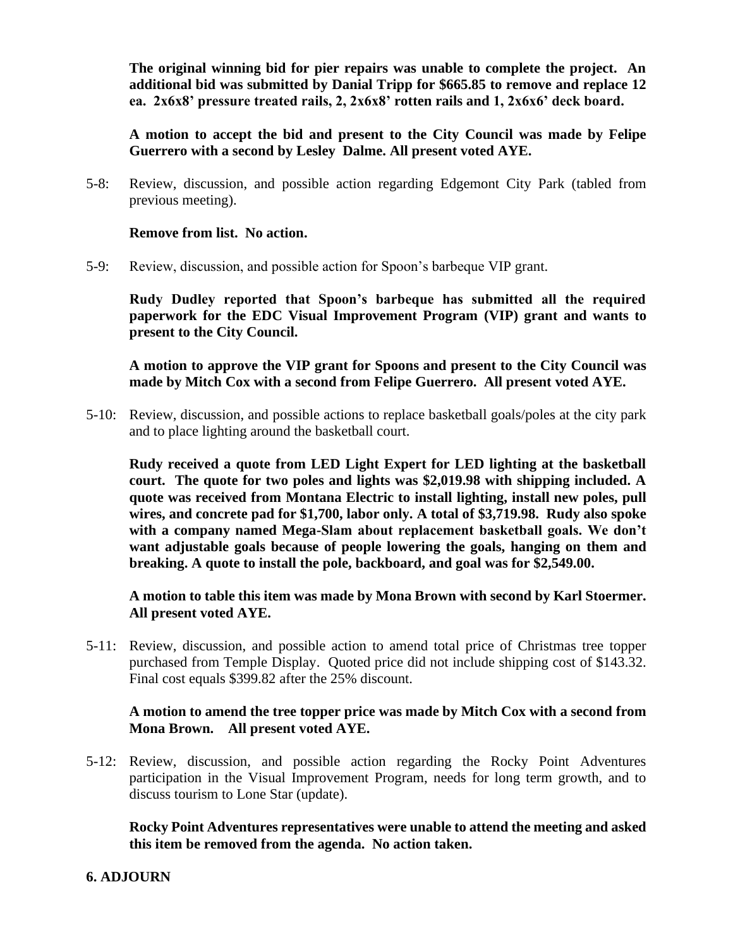**The original winning bid for pier repairs was unable to complete the project. An additional bid was submitted by Danial Tripp for \$665.85 to remove and replace 12 ea. 2x6x8' pressure treated rails, 2, 2x6x8' rotten rails and 1, 2x6x6' deck board.**

**A motion to accept the bid and present to the City Council was made by Felipe Guerrero with a second by Lesley Dalme. All present voted AYE.**

5-8: Review, discussion, and possible action regarding Edgemont City Park (tabled from previous meeting).

## **Remove from list. No action.**

5-9: Review, discussion, and possible action for Spoon's barbeque VIP grant.

**Rudy Dudley reported that Spoon's barbeque has submitted all the required paperwork for the EDC Visual Improvement Program (VIP) grant and wants to present to the City Council.**

**A motion to approve the VIP grant for Spoons and present to the City Council was made by Mitch Cox with a second from Felipe Guerrero. All present voted AYE.**

5-10: Review, discussion, and possible actions to replace basketball goals/poles at the city park and to place lighting around the basketball court.

**Rudy received a quote from LED Light Expert for LED lighting at the basketball court. The quote for two poles and lights was \$2,019.98 with shipping included. A quote was received from Montana Electric to install lighting, install new poles, pull wires, and concrete pad for \$1,700, labor only. A total of \$3,719.98. Rudy also spoke with a company named Mega-Slam about replacement basketball goals. We don't want adjustable goals because of people lowering the goals, hanging on them and breaking. A quote to install the pole, backboard, and goal was for \$2,549.00.** 

**A motion to table this item was made by Mona Brown with second by Karl Stoermer. All present voted AYE.**

5-11: Review, discussion, and possible action to amend total price of Christmas tree topper purchased from Temple Display. Quoted price did not include shipping cost of \$143.32. Final cost equals \$399.82 after the 25% discount.

# **A motion to amend the tree topper price was made by Mitch Cox with a second from Mona Brown. All present voted AYE.**

5-12: Review, discussion, and possible action regarding the Rocky Point Adventures participation in the Visual Improvement Program, needs for long term growth, and to discuss tourism to Lone Star (update).

**Rocky Point Adventures representatives were unable to attend the meeting and asked this item be removed from the agenda. No action taken.**

# **6. ADJOURN**